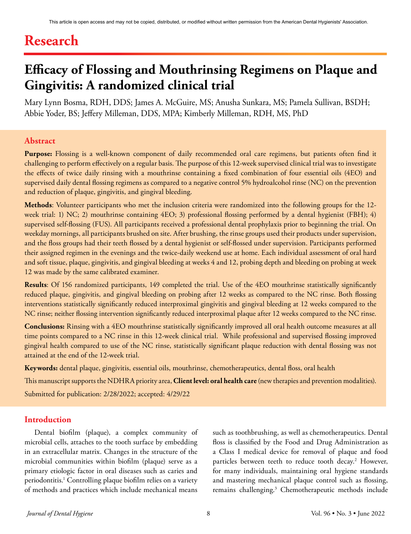# **Research**

# **Efficacy of Flossing and Mouthrinsing Regimens on Plaque and Gingivitis: A randomized clinical trial**

Mary Lynn Bosma, RDH, DDS; James A. McGuire, MS; Anusha Sunkara, MS; Pamela Sullivan, BSDH; Abbie Yoder, BS; Jeffery Milleman, DDS, MPA; Kimberly Milleman, RDH, MS, PhD

#### **Abstract**

**Purpose:** Flossing is a well-known component of daily recommended oral care regimens, but patients often find it challenging to perform effectively on a regular basis. The purpose of this 12-week supervised clinical trial was to investigate the effects of twice daily rinsing with a mouthrinse containing a fixed combination of four essential oils (4EO) and supervised daily dental flossing regimens as compared to a negative control 5% hydroalcohol rinse (NC) on the prevention and reduction of plaque, gingivitis, and gingival bleeding.

**Methods**: Volunteer participants who met the inclusion criteria were randomized into the following groups for the 12 week trial: 1) NC; 2) mouthrinse containing 4EO; 3) professional flossing performed by a dental hygienist (FBH); 4) supervised self-flossing (FUS). All participants received a professional dental prophylaxis prior to beginning the trial. On weekday mornings, all participants brushed on site. After brushing, the rinse groups used their products under supervision, and the floss groups had their teeth flossed by a dental hygienist or self-flossed under supervision. Participants performed their assigned regimen in the evenings and the twice-daily weekend use at home. Each individual assessment of oral hard and soft tissue, plaque, gingivitis, and gingival bleeding at weeks 4 and 12, probing depth and bleeding on probing at week 12 was made by the same calibrated examiner.

**Results**: Of 156 randomized participants, 149 completed the trial. Use of the 4EO mouthrinse statistically significantly reduced plaque, gingivitis, and gingival bleeding on probing after 12 weeks as compared to the NC rinse. Both flossing interventions statistically significantly reduced interproximal gingivitis and gingival bleeding at 12 weeks compared to the NC rinse; neither flossing intervention significantly reduced interproximal plaque after 12 weeks compared to the NC rinse.

**Conclusions:** Rinsing with a 4EO mouthrinse statistically significantly improved all oral health outcome measures at all time points compared to a NC rinse in this 12-week clinical trial. While professional and supervised flossing improved gingival health compared to use of the NC rinse, statistically significant plaque reduction with dental flossing was not attained at the end of the 12-week trial.

**Keywords:** dental plaque, gingivitis, essential oils, mouthrinse, chemotherapeutics, dental floss, oral health

This manuscript supports the NDHRA priority area, **Client level: oral health care** (new therapies and prevention modalities).

Submitted for publication: 2/28/2022; accepted: 4/29/22

#### **Introduction**

Dental biofilm (plaque), a complex community of microbial cells, attaches to the tooth surface by embedding in an extracellular matrix. Changes in the structure of the microbial communities within biofilm (plaque) serve as a primary etiologic factor in oral diseases such as caries and periodontitis.1 Controlling plaque biofilm relies on a variety of methods and practices which include mechanical means

such as toothbrushing, as well as chemotherapeutics. Dental floss is classified by the Food and Drug Administration as a Class I medical device for removal of plaque and food particles between teeth to reduce tooth decay.<sup>2</sup> However, for many individuals, maintaining oral hygiene standards and mastering mechanical plaque control such as flossing, remains challenging.<sup>3</sup> Chemotherapeutic methods include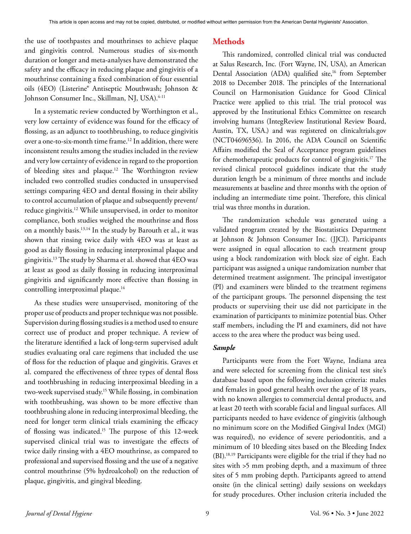the use of toothpastes and mouthrinses to achieve plaque and gingivitis control. Numerous studies of six-month duration or longer and meta-analyses have demonstrated the safety and the efficacy in reducing plaque and gingivitis of a mouthrinse containing a fixed combination of four essential oils (4EO) (Listerine® Antiseptic Mouthwash; Johnson & Johnson Consumer Inc., Skillman, NJ, USA).<sup>4-11</sup>

In a systematic review conducted by Worthington et al., very low certainty of evidence was found for the efficacy of flossing, as an adjunct to toothbrushing, to reduce gingivitis over a one-to-six-month time frame.12 In addition, there were inconsistent results among the studies included in the review and very low certainty of evidence in regard to the proportion of bleeding sites and plaque.<sup>12</sup> The Worthington review included two controlled studies conducted in unsupervised settings comparing 4EO and dental flossing in their ability to control accumulation of plaque and subsequently prevent/ reduce gingivitis.<sup>12</sup> While unsupervised, in order to monitor compliance, both studies weighed the mouthrinse and floss on a monthly basis.13,14 In the study by Barouth et al., it was shown that rinsing twice daily with 4EO was at least as good as daily flossing in reducing interproximal plaque and gingivitis.13 The study by Sharma et al. showed that 4EO was at least as good as daily flossing in reducing interproximal gingivitis and significantly more effective than flossing in controlling interproximal plaque.<sup>14</sup>

As these studies were unsupervised, monitoring of the proper use of products and proper technique was not possible. Supervision during flossing studies is a method used to ensure correct use of product and proper technique. A review of the literature identified a lack of long-term supervised adult studies evaluating oral care regimens that included the use of floss for the reduction of plaque and gingivitis. Graves et al. compared the effectiveness of three types of dental floss and toothbrushing in reducing interproximal bleeding in a two-week supervised study.15 While flossing, in combination with toothbrushing, was shown to be more effective than toothbrushing alone in reducing interproximal bleeding, the need for longer term clinical trials examining the efficacy of flossing was indicated.15 The purpose of this 12-week supervised clinical trial was to investigate the effects of twice daily rinsing with a 4EO mouthrinse, as compared to professional and supervised flossing and the use of a negative control mouthrinse (5% hydroalcohol) on the reduction of plaque, gingivitis, and gingival bleeding.

## **Methods**

This randomized, controlled clinical trial was conducted at Salus Research, Inc. (Fort Wayne, IN, USA), an American Dental Association (ADA) qualified site,<sup>16</sup> from September 2018 to December 2018. The principles of the International Council on Harmonisation Guidance for Good Clinical Practice were applied to this trial. The trial protocol was approved by the Institutional Ethics Committee on research involving humans (IntegReview Institutional Review Board, Austin, TX, USA.) and was registered on clinicaltrials.gov (NCT04696536). In 2016, the ADA Council on Scientific Affairs modified the Seal of Acceptance program guidelines for chemotherapeutic products for control of gingivitis.17 The revised clinical protocol guidelines indicate that the study duration length be a minimum of three months and include measurements at baseline and three months with the option of including an intermediate time point. Therefore, this clinical trial was three months in duration.

The randomization schedule was generated using a validated program created by the Biostatistics Department at Johnson & Johnson Consumer Inc. (JJCI). Participants were assigned in equal allocation to each treatment group using a block randomization with block size of eight. Each participant was assigned a unique randomization number that determined treatment assignment. The principal investigator (PI) and examiners were blinded to the treatment regimens of the participant groups. The personnel dispensing the test products or supervising their use did not participate in the examination of participants to minimize potential bias. Other staff members, including the PI and examiners, did not have access to the area where the product was being used.

#### *Sample*

Participants were from the Fort Wayne, Indiana area and were selected for screening from the clinical test site's database based upon the following inclusion criteria: males and females in good general health over the age of 18 years, with no known allergies to commercial dental products, and at least 20 teeth with scorable facial and lingual surfaces. All participants needed to have evidence of gingivitis (although no minimum score on the Modified Gingival Index (MGI) was required), no evidence of severe periodontitis, and a minimum of 10 bleeding sites based on the Bleeding Index (BI).18,19 Participants were eligible for the trial if they had no sites with >5 mm probing depth, and a maximum of three sites of 5 mm probing depth. Participants agreed to attend onsite (in the clinical setting) daily sessions on weekdays for study procedures. Other inclusion criteria included the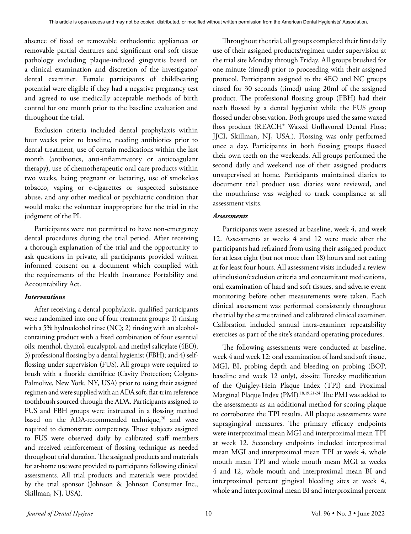absence of fixed or removable orthodontic appliances or removable partial dentures and significant oral soft tissue pathology excluding plaque-induced gingivitis based on a clinical examination and discretion of the investigator/ dental examiner. Female participants of childbearing potential were eligible if they had a negative pregnancy test and agreed to use medically acceptable methods of birth control for one month prior to the baseline evaluation and throughout the trial.

Exclusion criteria included dental prophylaxis within four weeks prior to baseline, needing antibiotics prior to dental treatment, use of certain medications within the last month (antibiotics, anti-inflammatory or anticoagulant therapy), use of chemotherapeutic oral care products within two weeks, being pregnant or lactating, use of smokeless tobacco, vaping or e-cigarettes or suspected substance abuse, and any other medical or psychiatric condition that would make the volunteer inappropriate for the trial in the judgment of the PI.

Participants were not permitted to have non-emergency dental procedures during the trial period. After receiving a thorough explanation of the trial and the opportunity to ask questions in private, all participants provided written informed consent on a document which complied with the requirements of the Health Insurance Portability and Accountability Act.

#### *Interventions*

After receiving a dental prophylaxis, qualified participants were randomized into one of four treatment groups: 1) rinsing with a 5% hydroalcohol rinse (NC); 2) rinsing with an alcoholcontaining product with a fixed combination of four essential oils: menthol, thymol, eucalyptol, and methyl salicylate (4EO); 3) professional flossing by a dental hygienist (FBH); and 4) selfflossing under supervision (FUS). All groups were required to brush with a fluoride dentifrice (Cavity Protection; Colgate-Palmolive, New York, NY, USA) prior to using their assigned regimen and were supplied with an ADA soft, flat-trim reference toothbrush sourced through the ADA. Participants assigned to FUS and FBH groups were instructed in a flossing method based on the ADA-recommended technique,<sup>20</sup> and were required to demonstrate competency. Those subjects assigned to FUS were observed daily by calibrated staff members and received reinforcement of flossing technique as needed throughout trial duration. The assigned products and materials for at-home use were provided to participants following clinical assessments. All trial products and materials were provided by the trial sponsor (Johnson & Johnson Consumer Inc., Skillman, NJ, USA).

Throughout the trial, all groups completed their first daily use of their assigned products/regimen under supervision at the trial site Monday through Friday. All groups brushed for one minute (timed) prior to proceeding with their assigned protocol. Participants assigned to the 4EO and NC groups rinsed for 30 seconds (timed) using 20ml of the assigned product. The professional flossing group (FBH) had their teeth flossed by a dental hygienist while the FUS group flossed under observation. Both groups used the same waxed floss product (REACH<sup>®</sup> Waxed Unflavored Dental Floss; JJCI, Skillman, NJ, USA.). Flossing was only performed once a day. Participants in both flossing groups flossed their own teeth on the weekends. All groups performed the second daily and weekend use of their assigned products unsupervised at home. Participants maintained diaries to document trial product use; diaries were reviewed, and the mouthrinse was weighed to track compliance at all assessment visits.

#### *Assessments*

Participants were assessed at baseline, week 4, and week 12. Assessments at weeks 4 and 12 were made after the participants had refrained from using their assigned product for at least eight (but not more than 18) hours and not eating at for least four hours. All assessment visits included a review of inclusion/exclusion criteria and concomitant medications, oral examination of hard and soft tissues, and adverse event monitoring before other measurements were taken. Each clinical assessment was performed consistently throughout the trial by the same trained and calibrated clinical examiner. Calibration included annual intra-examiner repeatability exercises as part of the site's standard operating procedures.

The following assessments were conducted at baseline, week 4 and week 12: oral examination of hard and soft tissue, MGI, BI, probing depth and bleeding on probing (BOP, baseline and week 12 only), six-site Turesky modification of the Quigley-Hein Plaque Index (TPI) and Proximal Marginal Plaque Index (PMI).18,19,21-24 The PMI was added to the assessments as an additional method for scoring plaque to corroborate the TPI results. All plaque assessments were supragingival measures. The primary efficacy endpoints were interproximal mean MGI and interproximal mean TPI at week 12. Secondary endpoints included interproximal mean MGI and interproximal mean TPI at week 4, whole mouth mean TPI and whole mouth mean MGI at weeks 4 and 12, whole mouth and interproximal mean BI and interproximal percent gingival bleeding sites at week 4, whole and interproximal mean BI and interproximal percent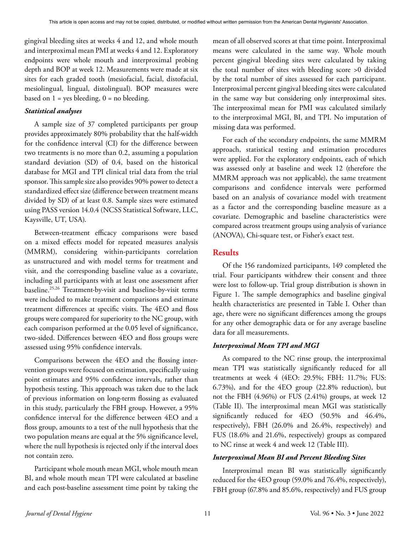gingival bleeding sites at weeks 4 and 12, and whole mouth and interproximal mean PMI at weeks 4 and 12. Exploratory endpoints were whole mouth and interproximal probing depth and BOP at week 12. Measurements were made at six sites for each graded tooth (mesiofacial, facial, distofacial, mesiolingual, lingual, distolingual). BOP measures were based on  $1 = yes$  bleeding,  $0 = no$  bleeding.

#### *Statistical analyses*

A sample size of 37 completed participants per group provides approximately 80% probability that the half-width for the confidence interval (CI) for the difference between two treatments is no more than 0.2, assuming a population standard deviation (SD) of 0.4, based on the historical database for MGI and TPI clinical trial data from the trial sponsor. This sample size also provides 90% power to detect a standardized effect size (difference between treatment means divided by SD) of at least 0.8. Sample sizes were estimated using PASS version 14.0.4 (NCSS Statistical Software, LLC, Kaysville, UT, USA).

Between-treatment efficacy comparisons were based on a mixed effects model for repeated measures analysis (MMRM), considering within-participants correlation as unstructured and with model terms for treatment and visit, and the corresponding baseline value as a covariate, including all participants with at least one assessment after baseline.25,26 Treatment-by-visit and baseline-by-visit terms were included to make treatment comparisons and estimate treatment differences at specific visits. The 4EO and floss groups were compared for superiority to the NC group, with each comparison performed at the 0.05 level of significance, two-sided. Differences between 4EO and floss groups were assessed using 95% confidence intervals.

Comparisons between the 4EO and the flossing intervention groups were focused on estimation, specifically using point estimates and 95% confidence intervals, rather than hypothesis testing. This approach was taken due to the lack of previous information on long-term flossing as evaluated in this study, particularly the FBH group. However, a 95% confidence interval for the difference between 4EO and a floss group, amounts to a test of the null hypothesis that the two population means are equal at the 5% significance level, where the null hypothesis is rejected only if the interval does not contain zero.

Participant whole mouth mean MGI, whole mouth mean BI, and whole mouth mean TPI were calculated at baseline and each post-baseline assessment time point by taking the mean of all observed scores at that time point. Interproximal means were calculated in the same way. Whole mouth percent gingival bleeding sites were calculated by taking the total number of sites with bleeding score >0 divided by the total number of sites assessed for each participant. Interproximal percent gingival bleeding sites were calculated in the same way but considering only interproximal sites. The interproximal mean for PMI was calculated similarly to the interproximal MGI, BI, and TPI. No imputation of missing data was performed.

For each of the secondary endpoints, the same MMRM approach, statistical testing and estimation procedures were applied. For the exploratory endpoints, each of which was assessed only at baseline and week 12 (therefore the MMRM approach was not applicable), the same treatment comparisons and confidence intervals were performed based on an analysis of covariance model with treatment as a factor and the corresponding baseline measure as a covariate. Demographic and baseline characteristics were compared across treatment groups using analysis of variance (ANOVA), Chi-square test, or Fisher's exact test.

### **Results**

Of the 156 randomized participants, 149 completed the trial. Four participants withdrew their consent and three were lost to follow-up. Trial group distribution is shown in Figure 1. The sample demographics and baseline gingival health characteristics are presented in Table I. Other than age, there were no significant differences among the groups for any other demographic data or for any average baseline data for all measurements.

#### *Interproximal Mean TPI and MGI*

As compared to the NC rinse group, the interproximal mean TPI was statistically significantly reduced for all treatments at week 4 (4EO: 29.5%; FBH: 11.7%; FUS: 6.73%), and for the 4EO group (22.8% reduction), but not the FBH (4.96%) or FUS (2.41%) groups, at week 12 (Table II). The interproximal mean MGI was statistically significantly reduced for 4EO (50.5% and 46.4%, respectively), FBH (26.0% and 26.4%, respectively) and FUS (18.6% and 21.6%, respectively) groups as compared to NC rinse at week 4 and week 12 (Table III).

#### *Interproximal Mean BI and Percent Bleeding Sites*

Interproximal mean BI was statistically significantly reduced for the 4EO group (59.0% and 76.4%, respectively), FBH group (67.8% and 85.6%, respectively) and FUS group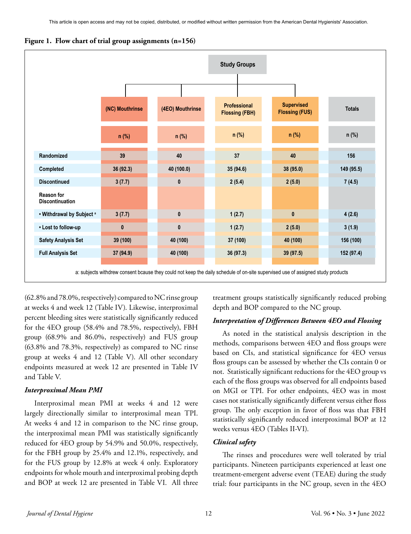**Figure 1. Flow chart of trial group assignments (n=156)**



a: subjects withdrew consent bcause they could not keep the daily schedule of on-site supervised use of assigned study products

(62.8% and 78.0%, respectively) compared to NC rinse group at weeks 4 and week 12 (Table IV). Likewise, interproximal percent bleeding sites were statistically significantly reduced for the 4EO group (58.4% and 78.5%, respectively), FBH group (68.9% and 86.0%, respectively) and FUS group (63.8% and 78.3%, respectively) as compared to NC rinse group at weeks 4 and 12 (Table V). All other secondary endpoints measured at week 12 are presented in Table IV and Table V.

#### *Interproximal Mean PMI*

Interproximal mean PMI at weeks 4 and 12 were largely directionally similar to interproximal mean TPI. At weeks 4 and 12 in comparison to the NC rinse group, the interproximal mean PMI was statistically significantly reduced for 4EO group by 54.9% and 50.0%, respectively, for the FBH group by 25.4% and 12.1%, respectively, and for the FUS group by 12.8% at week 4 only. Exploratory endpoints for whole mouth and interproximal probing depth and BOP at week 12 are presented in Table VI. All three

treatment groups statistically significantly reduced probing depth and BOP compared to the NC group.

#### *Interpretation of Differences Between 4EO and Flossing*

As noted in the statistical analysis description in the methods, comparisons between 4EO and floss groups were based on CIs, and statistical significance for 4EO versus floss groups can be assessed by whether the CIs contain 0 or not. Statistically significant reductions for the 4EO group vs each of the floss groups was observed for all endpoints based on MGI or TPI. For other endpoints, 4EO was in most cases not statistically significantly different versus either floss group. The only exception in favor of floss was that FBH statistically significantly reduced interproximal BOP at 12 weeks versus 4EO (Tables II-VI).

#### *Clinical safety*

The rinses and procedures were well tolerated by trial participants. Nineteen participants experienced at least one treatment-emergent adverse event (TEAE) during the study trial: four participants in the NC group, seven in the 4EO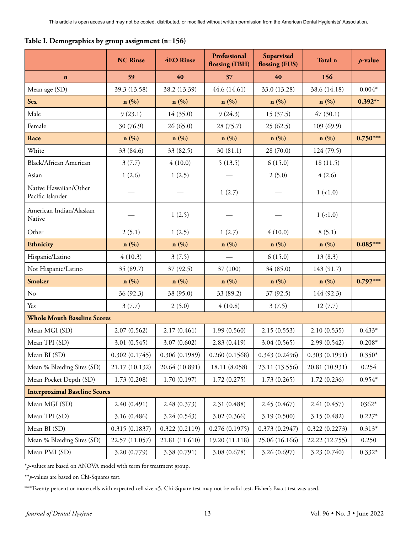|  |  |  | Table I. Demographics by group assignment (n=156) |  |  |
|--|--|--|---------------------------------------------------|--|--|
|  |  |  |                                                   |  |  |

|                                           | <b>NC Rinse</b>  | <b>4EO Rinse</b> | Professional<br>flossing (FBH) | Supervised<br>flossing (FUS) | Total n        | $p$ -value |
|-------------------------------------------|------------------|------------------|--------------------------------|------------------------------|----------------|------------|
| $\mathbf n$                               | 39               | 40               | 37                             | 40                           | 156            |            |
| Mean age (SD)                             | 39.3 (13.58)     | 38.2 (13.39)     | 44.6 (14.61)                   | 33.0 (13.28)                 | 38.6 (14.18)   | $0.004*$   |
| <b>Sex</b>                                | $\mathbf{n}(\%)$ | n(%)             | n(%)                           | $\mathbf{n}(\%)$             | n(%)           | $0.392**$  |
| Male                                      | 9(23.1)          | 14(35.0)         | 9(24.3)                        | 15(37.5)                     | 47(30.1)       |            |
| Female                                    | 30 (76.9)        | 26(65.0)         | 28 (75.7)                      | 25(62.5)                     | 109(69.9)      |            |
| Race                                      | $\mathbf{n}(\%)$ | n(%)             | n(%)                           | $\mathbf{n}(\%)$             | n(%)           | $0.750***$ |
| White                                     | 33 (84.6)        | 33 (82.5)        | 30(81.1)                       | 28(70.0)                     | 124 (79.5)     |            |
| <b>Black/African American</b>             | 3(7.7)           | 4(10.0)          | 5(13.5)                        | 6(15.0)                      | 18(11.5)       |            |
| Asian                                     | 1(2.6)           | 1(2.5)           |                                | 2(5.0)                       | 4(2.6)         |            |
| Native Hawaiian/Other<br>Pacific Islander |                  |                  | 1(2.7)                         |                              | $1 (=1.0)$     |            |
| American Indian/Alaskan<br>Native         |                  | 1(2.5)           |                                |                              | $1 (=1.0)$     |            |
| Other                                     | 2(5.1)           | 1(2.5)           | 1(2.7)                         | 4(10.0)                      | 8(5.1)         |            |
| Ethnicity                                 | n(%)             | n(%)             | n(%)                           | n(%)                         | n(%)           | $0.085***$ |
| Hispanic/Latino                           | 4(10.3)          | 3(7.5)           |                                | 6(15.0)                      | 13(8.3)        |            |
| Not Hispanic/Latino                       | 35 (89.7)        | 37 (92.5)        | 37 (100)                       | 34 (85.0)                    | 143 (91.7)     |            |
| <b>Smoker</b>                             | $\mathbf{n}(\%)$ | n(%)             | n(%)                           | $\mathbf{n}(\%)$             | n(%)           | $0.792***$ |
| No                                        | 36 (92.3)        | 38 (95.0)        | 33 (89.2)                      | 37 (92.5)                    | 144 (92.3)     |            |
| Yes                                       | 3(7.7)           | 2(5.0)           | 4(10.8)                        | 3(7.5)                       | 12(7.7)        |            |
| <b>Whole Mouth Baseline Scores</b>        |                  |                  |                                |                              |                |            |
| Mean MGI (SD)                             | 2.07(0.562)      | 2.17(0.461)      | 1.99(0.560)                    | 2.15(0.553)                  | 2.10(0.535)    | $0.433*$   |
| Mean TPI (SD)                             | 3.01(0.545)      | 3.07(0.602)      | 2.83 (0.419)                   | 3.04(0.565)                  | 2.99(0.542)    | $0.208*$   |
| Mean BI (SD)                              | 0.302(0.1745)    | 0.306(0.1989)    | 0.260(0.1568)                  | 0.343(0.2496)                | 0.303(0.1991)  | $0.350*$   |
| Mean % Bleeding Sites (SD)                | 21.17 (10.132)   | 20.64 (10.891)   | 18.11 (8.058)                  | 23.11 (13.556)               | 20.81 (10.931) | 0.254      |
| Mean Pocket Depth (SD)                    | 1.73(0.208)      | 1.70(0.197)      | 1.72(0.275)                    | 1.73(0.265)                  | 1.72(0.236)    | $0.954*$   |
| <b>Interproximal Baseline Scores</b>      |                  |                  |                                |                              |                |            |
| Mean MGI (SD)                             | 2.40 (0.491)     | 2.48 (0.373)     | 2.31 (0.488)                   | 2.45 (0.467)                 | 2.41 (0.457)   | $0362*$    |
| Mean TPI (SD)                             | 3.16 (0.486)     | 3.24(0.543)      | 3.02 (0.366)                   | 3.19(0.500)                  | 3.15(0.482)    | $0.227*$   |
| Mean BI (SD)                              | 0.315(0.1837)    | 0.322(0.2119)    | 0.276(0.1975)                  | 0.373(0.2947)                | 0.322(0.2273)  | $0.313*$   |
| Mean % Bleeding Sites (SD)                | 22.57 (11.057)   | 21.81 (11.610)   | 19.20 (11.118)                 | 25.06 (16.166)               | 22.22 (12.755) | 0.250      |
| Mean PMI (SD)                             | 3.20 (0.779)     | 3.38 (0.791)     | 3.08 (0.678)                   | 3.26 (0.697)                 | 3.23(0.740)    | $0.332*$   |

\**p*-values are based on ANOVA model with term for treatment group.

\*\**p*-values are based on Chi-Squares test.

\*\*\*Twenty percent or more cells with expected cell size <5, Chi-Square test may not be valid test. Fisher's Exact test was used.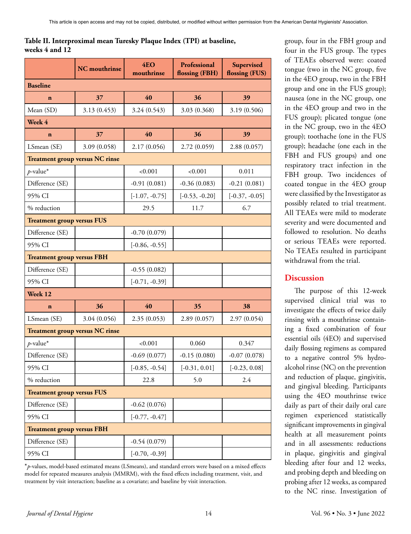# **Table II. Interproximal mean Turesky Plaque Index (TPI) at baseline, weeks 4 and 12**

|                                   | <b>NC</b> mouthrinse                   | 4EO<br>mouthrinse | Professional<br>flossing (FBH) | Supervised<br>flossing (FUS) |
|-----------------------------------|----------------------------------------|-------------------|--------------------------------|------------------------------|
| <b>Baseline</b>                   |                                        |                   |                                |                              |
| $\mathbf{n}$                      | 37                                     | 40                | 36                             | 39                           |
| Mean (SD)                         | 3.13(0.453)                            | 3.24(0.543)       | 3.03 (0.368)                   | 3.19 (0.506)                 |
| Week 4                            |                                        |                   |                                |                              |
| $\mathbf{n}$                      | 37                                     | 40                | 36                             | 39                           |
| LSmean (SE)                       | 3.09(0.058)                            | 2.17(0.056)       | 2.72(0.059)                    | 2.88(0.057)                  |
|                                   | <b>Treatment group versus NC rinse</b> |                   |                                |                              |
| $p$ -value*                       |                                        | < 0.001           | < 0.001                        | 0.011                        |
| Difference (SE)                   |                                        | $-0.91(0.081)$    | $-0.36(0.083)$                 | $-0.21(0.081)$               |
| 95% CI                            |                                        | $[-1.07, -0.75]$  | $[-0.53, -0.20]$               | $[-0.37, -0.05]$             |
| % reduction                       |                                        | 29.5              | 11.7                           | 6.7                          |
| <b>Treatment group versus FUS</b> |                                        |                   |                                |                              |
| Difference (SE)                   |                                        | $-0.70(0.079)$    |                                |                              |
| 95% CI                            |                                        | $[-0.86, -0.55]$  |                                |                              |
| <b>Treatment group versus FBH</b> |                                        |                   |                                |                              |
| Difference (SE)                   |                                        | $-0.55(0.082)$    |                                |                              |
| 95% CI                            |                                        | $[-0.71, -0.39]$  |                                |                              |
| Week 12                           |                                        |                   |                                |                              |
| $\mathbf{n}$                      | 36                                     | 40                | 35                             | 38                           |
| LSmean (SE)                       | 3.04 (0.056)                           | 2.35(0.053)       | 2.89(0.057)                    | 2.97(0.054)                  |
|                                   | <b>Treatment group versus NC rinse</b> |                   |                                |                              |
| $p$ -value*                       |                                        | < 0.001           | 0.060                          | 0.347                        |
| Difference (SE)                   |                                        | $-0.69(0.077)$    | $-0.15(0.080)$                 | $-0.07(0.078)$               |
| 95% CI                            |                                        | $[-0.85, -0.54]$  | $[-0.31, 0.01]$                | $[-0.23, 0.08]$              |
| % reduction                       |                                        | 22.8              | 5.0                            | 2.4                          |
| <b>Treatment group versus FUS</b> |                                        |                   |                                |                              |
| Difference (SE)                   |                                        | $-0.62(0.076)$    |                                |                              |
| 95% CI                            |                                        | $[-0.77, -0.47]$  |                                |                              |
| <b>Treatment group versus FBH</b> |                                        |                   |                                |                              |
| Difference (SE)                   |                                        | $-0.54(0.079)$    |                                |                              |
| 95% CI                            |                                        | $[-0.70, -0.39]$  |                                |                              |

\**p*-values, model-based estimated means (LSmeans), and standard errors were based on a mixed effects model for repeated measures analysis (MMRM), with the fixed effects including treatment, visit, and treatment by visit interaction; baseline as a covariate; and baseline by visit interaction.

group, four in the FBH group and four in the FUS group. The types of TEAEs observed were: coated tongue (two in the NC group, five in the 4EO group, two in the FBH group and one in the FUS group); nausea (one in the NC group, one in the 4EO group and two in the FUS group); plicated tongue (one in the NC group, two in the 4EO group); toothache (one in the FUS group); headache (one each in the FBH and FUS groups) and one respiratory tract infection in the FBH group. Two incidences of coated tongue in the 4EO group were classified by the Investigator as possibly related to trial treatment. All TEAEs were mild to moderate severity and were documented and followed to resolution. No deaths or serious TEAEs were reported. No TEAEs resulted in participant withdrawal from the trial.

# **Discussion**

The purpose of this 12-week supervised clinical trial was to investigate the effects of twice daily rinsing with a mouthrinse containing a fixed combination of four essential oils (4EO) and supervised daily flossing regimens as compared to a negative control 5% hydroalcohol rinse (NC) on the prevention and reduction of plaque, gingivitis, and gingival bleeding. Participants using the 4EO mouthrinse twice daily as part of their daily oral care regimen experienced statistically significant improvements in gingival health at all measurement points and in all assessments: reductions in plaque, gingivitis and gingival bleeding after four and 12 weeks, and probing depth and bleeding on probing after 12 weeks, as compared to the NC rinse. Investigation of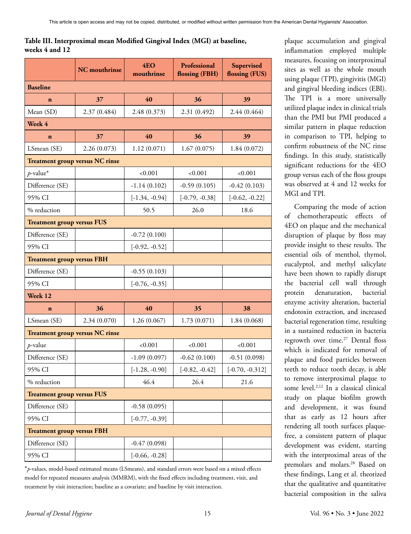# **Table III. Interproximal mean Modified Gingival Index (MGI) at baseline, weeks 4 and 12**

|                                        | <b>NC</b> mouthrinse | 4EO<br>mouthrinse | Professional<br>flossing (FBH) | Supervised<br>flossing (FUS) |
|----------------------------------------|----------------------|-------------------|--------------------------------|------------------------------|
| <b>Baseline</b>                        |                      |                   |                                |                              |
| $\mathbf{n}$                           | 37                   | 40                | 36                             | 39                           |
| Mean (SD)                              | 2.37 (0.484)         | 2.48 (0.373)      | 2.31 (0.492)                   | 2.44 (0.464)                 |
| Week 4                                 |                      |                   |                                |                              |
| $\mathbf{n}$                           | 37                   | 40                | 36                             | 39                           |
| LSmean (SE)                            | 2.26 (0.073)         | 1.12(0.071)       | 1.67(0.075)                    | 1.84(0.072)                  |
| <b>Treatment group versus NC rinse</b> |                      |                   |                                |                              |
| $p$ -value*                            |                      | < 0.001           | < 0.001                        | < 0.001                      |
| Difference (SE)                        |                      | $-1.14(0.102)$    | $-0.59(0.105)$                 | $-0.42(0.103)$               |
| 95% CI                                 |                      | $[-1.34, -0.94]$  | $[-0.79, -0.38]$               | $[-0.62, -0.22]$             |
| % reduction                            |                      | 50.5              | 26.0                           | 18.6                         |
| <b>Treatment group versus FUS</b>      |                      |                   |                                |                              |
| Difference (SE)                        |                      | $-0.72(0.100)$    |                                |                              |
| 95% CI                                 |                      | $[-0.92, -0.52]$  |                                |                              |
| <b>Treatment group versus FBH</b>      |                      |                   |                                |                              |
| Difference (SE)                        |                      | $-0.55(0.103)$    |                                |                              |
| 95% CI                                 |                      | $[-0.76, -0.35]$  |                                |                              |
| Week 12                                |                      |                   |                                |                              |
| $\mathbf{n}$                           | 36                   | 40                | 35                             | 38                           |
| LSmean (SE)                            | 2.34 (0.070)         | 1.26(0.067)       | 1.73(0.071)                    | 1.84(0.068)                  |
| <b>Treatment group versus NC rinse</b> |                      |                   |                                |                              |
| $p$ -value                             |                      | < 0.001           | < 0.001                        | < 0.001                      |
| Difference (SE)                        |                      | $-1.09(0.097)$    | $-0.62(0.100)$                 | $-0.51(0.098)$               |
| 95% CI                                 |                      | $[-1.28, -0.90]$  | $[-0.82, -0.42]$               | $[-0.70, -0.312]$            |
| % reduction                            |                      | 46.4              | 26.4                           | 21.6                         |
| <b>Treatment group versus FUS</b>      |                      |                   |                                |                              |
| Difference (SE)                        |                      | $-0.58(0.095)$    |                                |                              |
| 95% CI                                 |                      | $[-0.77, -0.39]$  |                                |                              |
| <b>Treatment group versus FBH</b>      |                      |                   |                                |                              |
| Difference (SE)                        |                      | $-0.47(0.098)$    |                                |                              |
| 95% CI                                 |                      | $[-0.66, -0.28]$  |                                |                              |

\**p*-values, model-based estimated means (LSmeans), and standard errors were based on a mixed effects model for repeated measures analysis (MMRM), with the fixed effects including treatment, visit, and treatment by visit interaction; baseline as a covariate; and baseline by visit interaction.

plaque accumulation and gingival inflammation employed multiple measures, focusing on interproximal sites as well as the whole mouth using plaque (TPI), gingivitis (MGI) and gingival bleeding indices (EBI). The TPI is a more universally utilized plaque index in clinical trials than the PMI but PMI produced a similar pattern in plaque reduction in comparison to TPI, helping to confirm robustness of the NC rinse findings. In this study, statistically significant reductions for the 4EO group versus each of the floss groups was observed at 4 and 12 weeks for MGI and TPI.

Comparing the mode of action of chemotherapeutic effects of 4EO on plaque and the mechanical disruption of plaque by floss may provide insight to these results. The essential oils of menthol, thymol, eucalyptol, and methyl salicylate have been shown to rapidly disrupt the bacterial cell wall through protein denaturation, bacterial enzyme activity alteration, bacterial endotoxin extraction, and increased bacterial regeneration time, resulting in a sustained reduction in bacteria regrowth over time.<sup>27</sup> Dental floss which is indicated for removal of plaque and food particles between teeth to reduce tooth decay, is able to remove interproximal plaque to some level.2,12 In a classical clinical study on plaque biofilm growth and development, it was found that as early as 12 hours after rendering all tooth surfaces plaquefree, a consistent pattern of plaque development was evident, starting with the interproximal areas of the premolars and molars.28 Based on these findings, Lang et al. theorized that the qualitative and quantitative bacterial composition in the saliva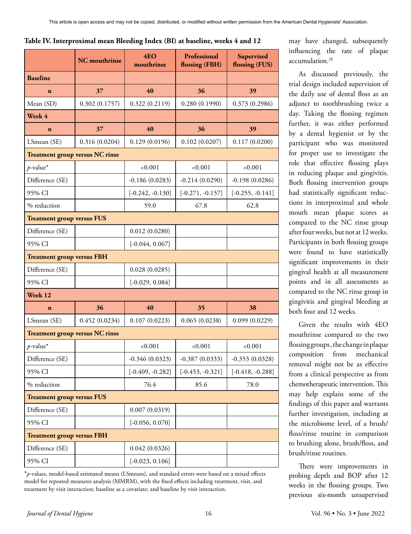|                                        | <b>NC</b> mouthrinse | 4EO<br>mouthrinse  | Professional<br>flossing (FBH) | Supervised<br>flossing (FUS) |
|----------------------------------------|----------------------|--------------------|--------------------------------|------------------------------|
| <b>Baseline</b>                        |                      |                    |                                |                              |
| $\mathbf{n}$                           | 37                   | 40                 | 36                             | 39                           |
| Mean (SD)                              | 0.302(0.1757)        | 0.322(0.2119)      | 0.280(0.1990)                  | 0.373(0.2986)                |
| Week 4                                 |                      |                    |                                |                              |
| $\mathbf{n}$                           | 37                   | 40                 | 36                             | 39                           |
| LSmean (SE)                            | 0.316(0.0204)        | 0.129(0.0196)      | 0.102(0.0207)                  | 0.117(0.0200)                |
| <b>Treatment group versus NC rinse</b> |                      |                    |                                |                              |
| $p$ -value*                            |                      | < 0.001            | < 0.001                        | < 0.001                      |
| Difference (SE)                        |                      | $-0.186(0.0283)$   | $-0.214(0.0290)$               | $-0.198(0.0286)$             |
| 95% CI                                 |                      | $[-0.242, -0.130]$ | $[-0.271, -0.157]$             | $[-0.255, -0.141]$           |
| % reduction                            |                      | 59.0               | 67.8                           | 62.8                         |
| <b>Treatment group versus FUS</b>      |                      |                    |                                |                              |
| Difference (SE)                        |                      | 0.012(0.0280)      |                                |                              |
| 95% CI                                 |                      | $[-0.044, 0.067]$  |                                |                              |
| <b>Treatment group versus FBH</b>      |                      |                    |                                |                              |
| Difference (SE)                        |                      | 0.028(0.0285)      |                                |                              |
| 95% CI                                 |                      | $[-0.029, 0.084]$  |                                |                              |
| Week 12                                |                      |                    |                                |                              |
| $\mathbf{n}$                           | 36                   | 40                 | 35                             | 38                           |
| LSmean (SE)                            | 0.452(0.0234)        | 0.107(0.0223)      | 0.065(0.0238)                  | 0.099(0.0229)                |
| <b>Treatment group versus NC rinse</b> |                      |                    |                                |                              |
| $p$ -value*                            |                      | < 0.001            | < 0.001                        | < 0.001                      |
| Difference (SE)                        |                      | $-0.346(0.0323)$   | $-0.387(0.0333)$               | $-0.353(0.0328)$             |
| 95% CI                                 |                      | $[-0.409, -0.282]$ | $[-0.453, -0.321]$             | $[-0.418, -0.288]$           |
| % reduction                            |                      | 76.4               | 85.6                           | 78.0                         |
| <b>Treatment group versus FUS</b>      |                      |                    |                                |                              |
| Difference (SE)                        |                      | 0.007(0.0319)      |                                |                              |
| 95% CI                                 |                      | $[-0.056, 0.070]$  |                                |                              |
| <b>Treatment group versus FBH</b>      |                      |                    |                                |                              |
| Difference (SE)                        |                      | 0.042(0.0326)      |                                |                              |
| 95% CI                                 |                      | $[-0.023, 0.106]$  |                                |                              |

**Table IV. Interproximal mean Bleeding Index (BI) at baseline, weeks 4 and 12** 

\**p*-values, model-based estimated means (LSmeans), and standard errors were based on a mixed effects model for repeated measures analysis (MMRM), with the fixed effects including treatment, visit, and treatment by visit interaction; baseline as a covariate; and baseline by visit interaction.

may have changed, subsequently influencing the rate of plaque accumulation.28

As discussed previously, the trial design included supervision of the daily use of dental floss as an adjunct to toothbrushing twice a day. Taking the flossing regimen further, it was either performed by a dental hygienist or by the participant who was monitored for proper use to investigate the role that effective flossing plays in reducing plaque and gingivitis. Both flossing intervention groups had statistically significant reductions in interproximal and whole mouth mean plaque scores as compared to the NC rinse group after four weeks, but not at 12 weeks. Participants in both flossing groups were found to have statistically significant improvements in their gingival health at all measurement points and in all assessments as compared to the NC rinse group in gingivitis and gingival bleeding at both four and 12 weeks.

Given the results with 4EO mouthrinse compared to the two flossing groups, the change in plaque composition from mechanical removal might not be as effective from a clinical perspective as from chemotherapeutic intervention. This may help explain some of the findings of this paper and warrants further investigation, including at the microbiome level, of a brush/ floss/rinse routine in comparison to brushing alone, brush/floss, and brush/rinse routines.

There were improvements in probing depth and BOP after 12 weeks in the flossing groups. Two previous six-month unsupervised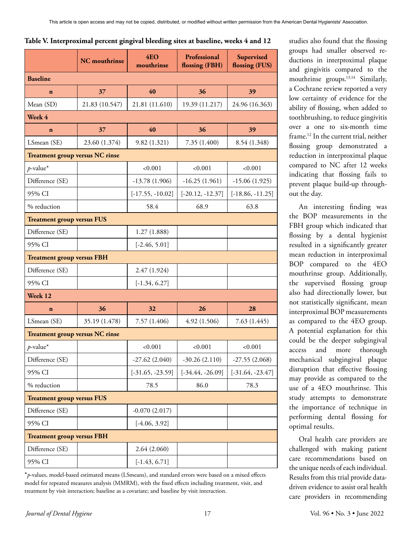|  |  | Table V. Interproximal percent gingival bleeding sites at baseline, weeks 4 and 12 |  |
|--|--|------------------------------------------------------------------------------------|--|
|--|--|------------------------------------------------------------------------------------|--|

|                                        | <b>NC</b> mouthrinse | 4E <sub>O</sub><br>mouthrinse | Professional<br>flossing (FBH) | Supervised<br>flossing (FUS) |
|----------------------------------------|----------------------|-------------------------------|--------------------------------|------------------------------|
| <b>Baseline</b>                        |                      |                               |                                |                              |
| $\mathbf n$                            | 37                   | 40                            | 36                             | 39                           |
| Mean (SD)                              | 21.83 (10.547)       | 21.81 (11.610)                | 19.39 (11.217)                 | 24.96 (16.363)               |
| Week 4                                 |                      |                               |                                |                              |
| $\mathbf{n}$                           | 37                   | 40                            | 36                             | 39                           |
| LSmean (SE)                            | 23.60 (1.374)        | 9.82(1.321)                   | 7.35 (1.400)                   | 8.54 (1.348)                 |
| <b>Treatment group versus NC rinse</b> |                      |                               |                                |                              |
| $p$ -value*                            |                      | ${<}0.001$                    | ${<}0.001$                     | < 0.001                      |
| Difference (SE)                        |                      | $-13.78(1.906)$               | $-16.25(1.961)$                | $-15.06(1.925)$              |
| 95% CI                                 |                      | $[-17.55, -10.02]$            | $[-20.12, -12.37]$             | $[-18.86, -11.25]$           |
| % reduction                            |                      | 58.4                          | 68.9                           | 63.8                         |
| <b>Treatment group versus FUS</b>      |                      |                               |                                |                              |
| Difference (SE)                        |                      | 1.27(1.888)                   |                                |                              |
| 95% CI                                 |                      | $[-2.46, 5.01]$               |                                |                              |
| <b>Treatment group versus FBH</b>      |                      |                               |                                |                              |
| Difference (SE)                        |                      | 2.47 (1.924)                  |                                |                              |
| 95% CI                                 |                      | $[-1.34, 6.27]$               |                                |                              |
| Week 12                                |                      |                               |                                |                              |
| $\mathbf n$                            | 36                   | 32                            | 26                             | 28                           |
| LSmean (SE)                            | 35.19 (1.478)        | 7.57 (1.406)                  | 4.92 (1.506)                   | 7.63(1.445)                  |
| <b>Treatment group versus NC rinse</b> |                      |                               |                                |                              |
| $p$ -value*                            |                      | < 0.001                       | < 0.001                        | < 0.001                      |
| Difference (SE)                        |                      | $-27.62(2.040)$               | $-30.26(2.110)$                | $-27.55(2.068)$              |
| 95% CI                                 |                      | $[-31.65, -23.59]$            | $[-34.44, -26.09]$             | $[-31.64, -23.47]$           |
| % reduction                            |                      | 78.5                          | 86.0                           | 78.3                         |
| <b>Treatment group versus FUS</b>      |                      |                               |                                |                              |
| Difference (SE)                        |                      | $-0.070(2.017)$               |                                |                              |
| 95% CI                                 |                      | $[-4.06, 3.92]$               |                                |                              |
| <b>Treatment group versus FBH</b>      |                      |                               |                                |                              |
| Difference (SE)                        |                      | 2.64(2.060)                   |                                |                              |
| 95% CI                                 |                      | $[-1.43, 6.71]$               |                                |                              |

\**p*-values, model-based estimated means (LSmeans), and standard errors were based on a mixed effects model for repeated measures analysis (MMRM), with the fixed effects including treatment, visit, and treatment by visit interaction; baseline as a covariate; and baseline by visit interaction.

studies also found that the flossing groups had smaller observed reductions in interproximal plaque and gingivitis compared to the mouthrinse groups.<sup>13,14</sup> Similarly, a Cochrane review reported a very low certainty of evidence for the ability of flossing, when added to toothbrushing, to reduce gingivitis over a one to six-month time frame.12 In the current trial, neither flossing group demonstrated a reduction in interproximal plaque compared to NC after 12 weeks indicating that flossing fails to prevent plaque build-up throughout the day.

An interesting finding was the BOP measurements in the FBH group which indicated that flossing by a dental hygienist resulted in a significantly greater mean reduction in interproximal BOP compared to the 4EO mouthrinse group. Additionally, the supervised flossing group also had directionally lower, but not statistically significant, mean interproximal BOP measurements as compared to the 4EO group. A potential explanation for this could be the deeper subgingival access and more thorough mechanical subgingival plaque disruption that effective flossing may provide as compared to the use of a 4EO mouthrinse. This study attempts to demonstrate the importance of technique in performing dental flossing for optimal results.

Oral health care providers are challenged with making patient care recommendations based on the unique needs of each individual. Results from this trial provide datadriven evidence to assist oral health care providers in recommending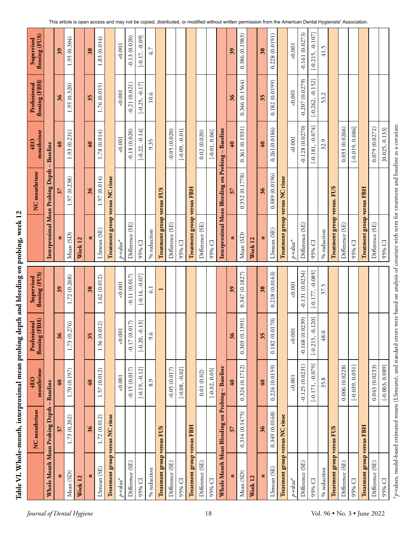| ı                    |  |
|----------------------|--|
| ı                    |  |
| ا<br>ا<br>ı          |  |
| I<br>$-$ ule-mo $11$ |  |
| Table VI. Wh         |  |
|                      |  |

|                                 | NC mouthrinse                                   | mouthrinse<br>4EO       | flossing (FBH)<br>Professional | flossing (FUS)<br>Supervised |                                   | NC mouthrinse                                     | mouthrinse<br>4EO  | flossing (FBH)<br>Professional | flossing (FUS)<br>Supervised |
|---------------------------------|-------------------------------------------------|-------------------------|--------------------------------|------------------------------|-----------------------------------|---------------------------------------------------|--------------------|--------------------------------|------------------------------|
|                                 | Whole Mouth Mean Probing Depth                  | <b>Baseline</b>         |                                |                              |                                   | Interproximal Mean Probing Depth                  | Baseline           |                                |                              |
|                                 | 37                                              | $\mathbf{e}$            | $\frac{36}{5}$                 | $\overline{39}$              |                                   |                                                   | $\mathbf{e}$       | $\frac{36}{5}$                 | $\overline{39}$              |
| Mean (SD)                       | 1.73 (0.202)                                    | 1.70(0.197)             | 1.73 (0.276)                   | 1.72 (0.268)                 | Mean (SD)                         | (0.238)<br>1.97                                   | 1.93 (0.231)       | 1.95 (0.320)                   | 1.95 (0.304)                 |
| Week 12                         |                                                 |                         |                                |                              | Week <sub>12</sub>                |                                                   |                    |                                |                              |
| d                               | 36                                              | 40                      | 35                             | 38                           |                                   | $\frac{36}{5}$                                    | $\mathbf{Q}$       | 35                             | 38                           |
| LSmean (SE)                     | 1.72 (0.012)                                    | 1.57 (0.012)            | 1.56 (0.012)                   | 1.62(0.012)                  | LSmean (SE)                       | 1.97 (0.014)                                      | 1.78(0.014)        | 1.76 (0.015)                   | 1.83(0.014)                  |
| Treatment group versus NC rinse |                                                 |                         |                                |                              | Treatment group versus NC rinse   |                                                   |                    |                                |                              |
| $p$ value*                      |                                                 | 0.001                   | 0.001                          | 0.001                        | $p$ -value*                       |                                                   | 0.001              | 0.001                          | 0.001                        |
| Difference (SE)                 |                                                 | $-0.15(0.017)$          | $-0.17(0.017)$                 | $-0.11(0.017)$               | Difference (SE)                   |                                                   | $-0.18(0.020)$     | $-0.21(0.021)$                 | $-0.13(0.020)$               |
| 95% CI                          |                                                 | $[-0.19, -0.12]$        | $[-0.20, -0.13]$               | $[-0.14, 0.07]$              | 95% CI                            |                                                   | $[-0.22, -0.14]$   | $[-0.25, -0.17]$               | $[-0.17, -0.09]$             |
| % reduction                     |                                                 | 8.9                     | 9.6                            | $\overline{61}$              | % reduction                       |                                                   | 9.35               | 10.6                           | 6.7                          |
| Treatment group versus FUS      |                                                 |                         |                                |                              | Treatment group versus FUS        |                                                   |                    |                                |                              |
| Difference (SE)                 |                                                 | $-0.05(0.017)$          |                                |                              | Difference (SE)                   |                                                   | $-0.05(0.020)$     |                                |                              |
| 95% CI                          |                                                 | $[-0.08, -0.02]$        |                                |                              | 95% CI                            |                                                   | $[-0.09, -0.01]$   |                                |                              |
| Treatment group versus FBH      |                                                 |                         |                                |                              | Treatment group versus FBH        |                                                   |                    |                                |                              |
| Difference (SE)                 |                                                 | 0.01(0.02)              |                                |                              | Difference (SE)                   |                                                   | 0.02(0.020)        |                                |                              |
| 95% CI                          |                                                 | $[-0.02, 0.05]$         |                                |                              | 95% CI                            |                                                   | $[-0.01, 0.06]$    |                                |                              |
|                                 | Whole Mouth Mean Bleeding on Probing - Baseline |                         |                                |                              |                                   | Interproximal Mean Bleeding on Probing - Baseline |                    |                                |                              |
| E                               | $\overline{\mathcal{E}}$                        | $\overline{\mathbf{6}}$ | 36                             | 39                           |                                   | $\overline{\mathcal{E}}$                          | 40                 | $\frac{36}{5}$                 | $\frac{39}{2}$               |
| Mean (SD)                       | 0.314(0.1475)                                   | 0.324(0.1712)           | 1391)<br>0.303(0.              | 0.347(0.1827)                | Mean (SD)                         | 0.352 (0.1778)                                    | 0.361(0.1931)      | 0.346(0.1564)                  | 0.386(0.1983)                |
| Week 12                         |                                                 |                         |                                |                              | Week 12                           |                                                   |                    |                                |                              |
|                                 | 36                                              | 40                      | 35                             | 38                           |                                   | $\frac{36}{5}$                                    | 40                 | 35                             | 38                           |
| LSmean (SE)                     | 0.349 (0.0168)                                  | 0.224(0.0159)           | 0.182(0.0170)                  | 0.218(0.0163)                | LSmean (SE)                       | 0.389 (0.0196)                                    | 0.261(0.0186)      | 0.182(0.0199)                  | 0.228(0.0191)                |
| Treatment group versus NC rinse |                                                 |                         |                                |                              | Treatment group versus NC rinse   |                                                   |                    |                                |                              |
| p-value*                        |                                                 | 0.001                   | 0.001                          | 0.001                        | $p$ -value*                       |                                                   | 0.001              | 0.001                          | 0.001                        |
| Difference (SE)                 |                                                 | $-0.125(0.0231)$        | $-0.168(0.0239)$               | $-0.131(0.0234)$             | Difference (SE)                   |                                                   | $-0.128(0.0270)$   | $-0.207(0.0279)$               | $-0.161(0.0273)$             |
| 95% CI                          |                                                 | $[-0.171, -0.079]$      | $[-0.215, -0.120]$             | $[-0.177, -0.085]$           | 95% CI                            |                                                   | $[-0.181, -0.074]$ | $[-0.262, -0.152]$             | $[-0.215, -0.107]$           |
| % reduction                     |                                                 | 35.8                    | 48.0                           | 37.5                         | % reduction                       |                                                   | 32.9               | 53.2                           | 41.5                         |
| Treatment group versus FUS      |                                                 |                         |                                |                              | Treatment group versus. FUS       |                                                   |                    |                                |                              |
| Difference (SE)                 |                                                 | 0.006 (0.0228)          |                                |                              | Difference (SE)                   |                                                   | 0.033 (0.0266)     |                                |                              |
| 95% CI                          |                                                 | $[-0.039, 0.051]$       |                                |                              | 95% CI                            |                                                   | $[-0.019, 0.086]$  |                                |                              |
| Treatment group versus FBH      |                                                 |                         |                                |                              | <b>Treatment group versus FBH</b> |                                                   |                    |                                |                              |
| Difference (SE)                 |                                                 | 0.043(0.0233)           |                                |                              | Difference (SE)                   |                                                   | 0.079 (0.0272)     |                                |                              |
| 95% CI                          |                                                 | $[-0.003, 0.089]$       |                                |                              | 95% CI                            |                                                   | [0.025, 0.133]     |                                |                              |

This article is open access and may not be copied, distributed, or modified without written permission from the American Dental Hygienists' Association.

\**p*-values, model-based estimated means (LSmeans), and standard errors were based on analysis of covariate with term for treatment and baseline as a covariate.

 $*_{P}$  values, model-based estimated means (LSmeans), and standard errors were based on analysis of covariate with term for treatment and baseline as a covariate.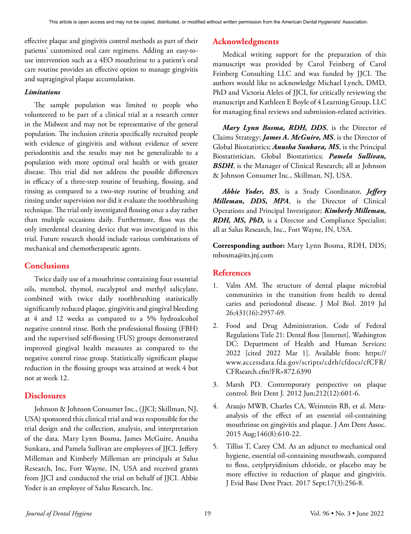effective plaque and gingivitis control methods as part of their patients' customized oral care regimens. Adding an easy-touse intervention such as a 4EO mouthrinse to a patient's oral care routine provides an effective option to manage gingivitis and supragingival plaque accumulation.

#### *Limitations*

The sample population was limited to people who volunteered to be part of a clinical trial at a research center in the Midwest and may not be representative of the general population. The inclusion criteria specifically recruited people with evidence of gingivitis and without evidence of severe periodontitis and the results may not be generalizable to a population with more optimal oral health or with greater disease. This trial did not address the possible differences in efficacy of a three-step routine of brushing, flossing, and rinsing as compared to a two-step routine of brushing and rinsing under supervision nor did it evaluate the toothbrushing technique. The trial only investigated flossing once a day rather than multiple occasions daily. Furthermore, floss was the only interdental cleaning device that was investigated in this trial. Future research should include various combinations of mechanical and chemotherapeutic agents.

## **Conclusions**

Twice daily use of a mouthrinse containing four essential oils, menthol, thymol, eucalyptol and methyl salicylate, combined with twice daily toothbrushing statistically significantly reduced plaque, gingivitis and gingival bleeding at 4 and 12 weeks as compared to a 5% hydroalcohol negative control rinse. Both the professional flossing (FBH) and the supervised self-flossing (FUS) groups demonstrated improved gingival health measures as compared to the negative control rinse group. Statistically significant plaque reduction in the flossing groups was attained at week 4 but not at week 12.

#### **Disclosures**

Johnson & Johnson Consumer Inc., (JJCI; Skillman, NJ, USA) sponsored this clinical trial and was responsible for the trial design and the collection, analysis, and interpretation of the data. Mary Lynn Bosma, James McGuire, Anusha Sunkara, and Pamela Sullivan are employees of JJCI. Jeffery Milleman and Kimberly Milleman are principals at Salus Research, Inc, Fort Wayne, IN, USA and received grants from JJCI and conducted the trial on behalf of JJCI. Abbie Yoder is an employee of Salus Research, Inc.

# **Acknowledgments**

Medical writing support for the preparation of this manuscript was provided by Carol Feinberg of Carol Feinberg Consulting LLC and was funded by JJCI. The authors would like to acknowledge Michael Lynch, DMD, PhD and Victoria Aleles of JJCI, for critically reviewing the manuscript and Kathleen E Boyle of 4 Learning Group, LLC for managing final reviews and submission-related activities.

*Mary Lynn Bosma, RDH, DDS*, is the Director of Claims Strategy; *James A. McGuire, MS*, is the Director of Global Biostatistics; *Anusha Sunkara, MS*, is the Principal Biostatistician, Global Biostatistics; *Pamela Sullivan, BSDH*, is the Manager of Clinical Research; all at Johnson & Johnson Consumer Inc., Skillman, NJ, USA.

*Abbie Yoder, BS*, is a Study Coordinator, *Jeffery Milleman, DDS, MPA*, is the Director of Clinical Operations and Principal Investigator; *Kimberly Milleman, RDH, MS, PhD,* is a Director and Compliance Specialist; all at Salus Research, Inc., Fort Wayne, IN, USA.

**Corresponding author:** Mary Lynn Bosma, RDH, DDS; mbosma@its.jnj.com

## **References**

- 1. Valm AM. The structure of dental plaque microbial communities in the transition from health to dental caries and periodontal disease. J Mol Biol. 2019 Jul 26;431(16):2957-69.
- 2. Food and Drug Administration. Code of Federal Regulations Title 21: Dental floss [Internet]. Washington DC: Department of Health and Human Services; 2022 [cited 2022 Mar 1]. Available from: https:// www.accessdata.fda.gov/scripts/cdrh/cfdocs/cfCFR/ CFRsearch.cfm?FR=872.6390
- 3. Marsh PD. Contemporary perspective on plaque control. Brit Dent J. 2012 Jun;212(12):601-6.
- 4. Araujo MWB, Charles CA, Weinstein RB, et al. Metaanalysis of the effect of an essential oil-containing mouthrinse on gingivitis and plaque. J Am Dent Assoc. 2015 Aug;146(8):610-22.
- 5. Tilliss T, Carey CM. As an adjunct to mechanical oral hygiene, essential oil-containing mouthwash, compared to floss, cetylpryidinium chloride, or placebo may be more effective in reduction of plaque and gingivitis. J Evid Base Dent Pract. 2017 Sept;17(3):256-8.